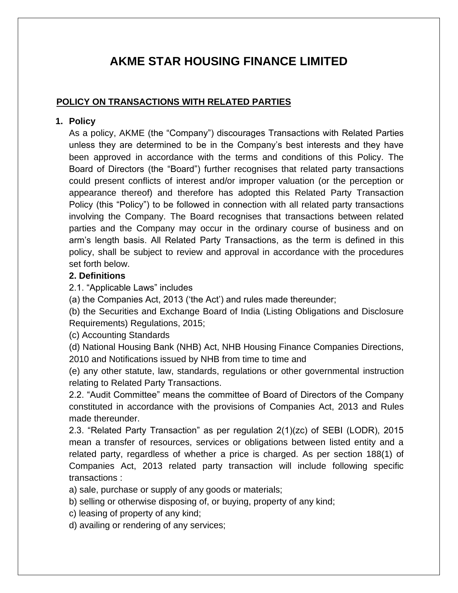# **AKME STAR HOUSING FINANCE LIMITED**

# **POLICY ON TRANSACTIONS WITH RELATED PARTIES**

## **1. Policy**

As a policy, AKME (the "Company") discourages Transactions with Related Parties unless they are determined to be in the Company's best interests and they have been approved in accordance with the terms and conditions of this Policy. The Board of Directors (the "Board") further recognises that related party transactions could present conflicts of interest and/or improper valuation (or the perception or appearance thereof) and therefore has adopted this Related Party Transaction Policy (this "Policy") to be followed in connection with all related party transactions involving the Company. The Board recognises that transactions between related parties and the Company may occur in the ordinary course of business and on arm's length basis. All Related Party Transactions, as the term is defined in this policy, shall be subject to review and approval in accordance with the procedures set forth below.

## **2. Definitions**

2.1. "Applicable Laws" includes

(a) the Companies Act, 2013 ('the Act') and rules made thereunder;

(b) the Securities and Exchange Board of India (Listing Obligations and Disclosure Requirements) Regulations, 2015;

(c) Accounting Standards

(d) National Housing Bank (NHB) Act, NHB Housing Finance Companies Directions,

2010 and Notifications issued by NHB from time to time and

(e) any other statute, law, standards, regulations or other governmental instruction relating to Related Party Transactions.

2.2. "Audit Committee" means the committee of Board of Directors of the Company constituted in accordance with the provisions of Companies Act, 2013 and Rules made thereunder.

2.3. "Related Party Transaction" as per regulation 2(1)(zc) of SEBI (LODR), 2015 mean a transfer of resources, services or obligations between listed entity and a related party, regardless of whether a price is charged. As per section 188(1) of Companies Act, 2013 related party transaction will include following specific transactions :

a) sale, purchase or supply of any goods or materials;

b) selling or otherwise disposing of, or buying, property of any kind;

c) leasing of property of any kind;

d) availing or rendering of any services;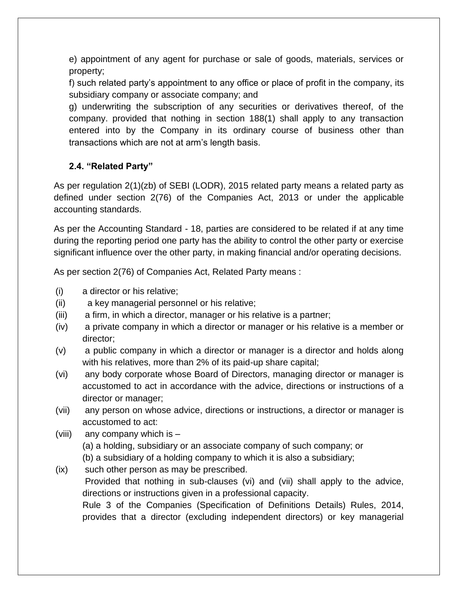e) appointment of any agent for purchase or sale of goods, materials, services or property;

f) such related party's appointment to any office or place of profit in the company, its subsidiary company or associate company; and

g) underwriting the subscription of any securities or derivatives thereof, of the company. provided that nothing in section 188(1) shall apply to any transaction entered into by the Company in its ordinary course of business other than transactions which are not at arm's length basis.

# **2.4. "Related Party"**

As per regulation 2(1)(zb) of SEBI (LODR), 2015 related party means a related party as defined under section 2(76) of the Companies Act, 2013 or under the applicable accounting standards.

As per the Accounting Standard - 18, parties are considered to be related if at any time during the reporting period one party has the ability to control the other party or exercise significant influence over the other party, in making financial and/or operating decisions.

As per section 2(76) of Companies Act, Related Party means :

- (i) a director or his relative;
- (ii) a key managerial personnel or his relative;
- (iii) a firm, in which a director, manager or his relative is a partner;
- (iv) a private company in which a director or manager or his relative is a member or director;
- (v) a public company in which a director or manager is a director and holds along with his relatives, more than 2% of its paid-up share capital;
- (vi) any body corporate whose Board of Directors, managing director or manager is accustomed to act in accordance with the advice, directions or instructions of a director or manager;
- (vii) any person on whose advice, directions or instructions, a director or manager is accustomed to act:
- (viii) any company which is  $-$

(a) a holding, subsidiary or an associate company of such company; or

(b) a subsidiary of a holding company to which it is also a subsidiary;

(ix) such other person as may be prescribed.

Provided that nothing in sub-clauses (vi) and (vii) shall apply to the advice, directions or instructions given in a professional capacity.

Rule 3 of the Companies (Specification of Definitions Details) Rules, 2014, provides that a director (excluding independent directors) or key managerial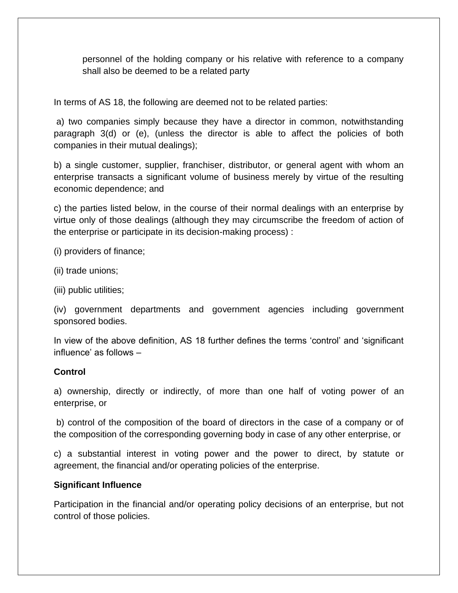personnel of the holding company or his relative with reference to a company shall also be deemed to be a related party

In terms of AS 18, the following are deemed not to be related parties:

a) two companies simply because they have a director in common, notwithstanding paragraph 3(d) or (e), (unless the director is able to affect the policies of both companies in their mutual dealings);

b) a single customer, supplier, franchiser, distributor, or general agent with whom an enterprise transacts a significant volume of business merely by virtue of the resulting economic dependence; and

c) the parties listed below, in the course of their normal dealings with an enterprise by virtue only of those dealings (although they may circumscribe the freedom of action of the enterprise or participate in its decision-making process) :

(i) providers of finance;

(ii) trade unions;

(iii) public utilities;

(iv) government departments and government agencies including government sponsored bodies.

In view of the above definition, AS 18 further defines the terms 'control' and 'significant influence' as follows –

#### **Control**

a) ownership, directly or indirectly, of more than one half of voting power of an enterprise, or

b) control of the composition of the board of directors in the case of a company or of the composition of the corresponding governing body in case of any other enterprise, or

c) a substantial interest in voting power and the power to direct, by statute or agreement, the financial and/or operating policies of the enterprise.

#### **Significant Influence**

Participation in the financial and/or operating policy decisions of an enterprise, but not control of those policies.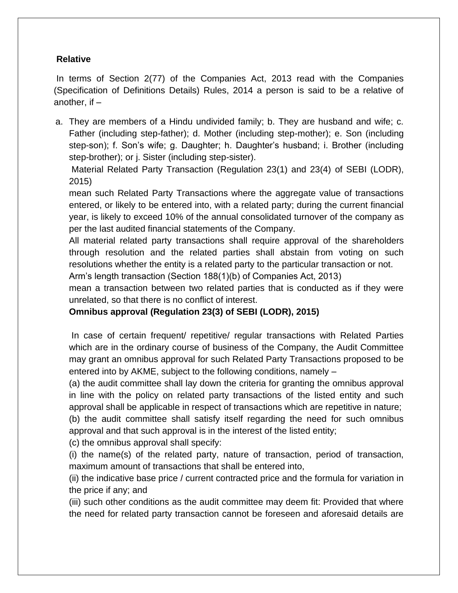## **Relative**

In terms of Section 2(77) of the Companies Act, 2013 read with the Companies (Specification of Definitions Details) Rules, 2014 a person is said to be a relative of another, if –

a. They are members of a Hindu undivided family; b. They are husband and wife; c. Father (including step-father); d. Mother (including step-mother); e. Son (including step-son); f. Son's wife; g. Daughter; h. Daughter's husband; i. Brother (including step-brother); or j. Sister (including step-sister).

Material Related Party Transaction (Regulation 23(1) and 23(4) of SEBI (LODR), 2015)

mean such Related Party Transactions where the aggregate value of transactions entered, or likely to be entered into, with a related party; during the current financial year, is likely to exceed 10% of the annual consolidated turnover of the company as per the last audited financial statements of the Company.

All material related party transactions shall require approval of the shareholders through resolution and the related parties shall abstain from voting on such resolutions whether the entity is a related party to the particular transaction or not.

Arm's length transaction (Section 188(1)(b) of Companies Act, 2013)

mean a transaction between two related parties that is conducted as if they were unrelated, so that there is no conflict of interest.

# **Omnibus approval (Regulation 23(3) of SEBI (LODR), 2015)**

In case of certain frequent/ repetitive/ regular transactions with Related Parties which are in the ordinary course of business of the Company, the Audit Committee may grant an omnibus approval for such Related Party Transactions proposed to be entered into by AKME, subject to the following conditions, namely –

(a) the audit committee shall lay down the criteria for granting the omnibus approval in line with the policy on related party transactions of the listed entity and such approval shall be applicable in respect of transactions which are repetitive in nature; (b) the audit committee shall satisfy itself regarding the need for such omnibus approval and that such approval is in the interest of the listed entity;

(c) the omnibus approval shall specify:

(i) the name(s) of the related party, nature of transaction, period of transaction, maximum amount of transactions that shall be entered into,

(ii) the indicative base price / current contracted price and the formula for variation in the price if any; and

(iii) such other conditions as the audit committee may deem fit: Provided that where the need for related party transaction cannot be foreseen and aforesaid details are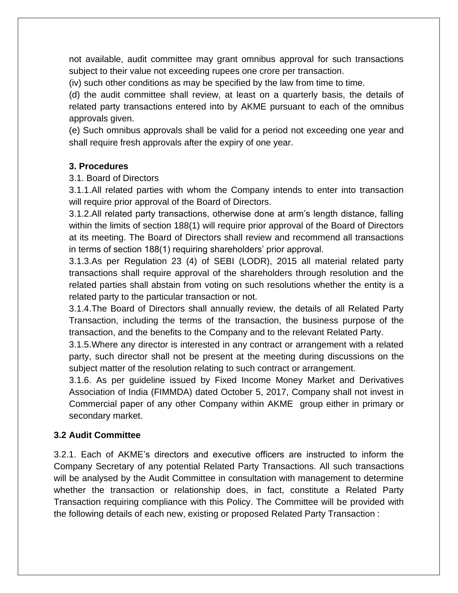not available, audit committee may grant omnibus approval for such transactions subject to their value not exceeding rupees one crore per transaction.

(iv) such other conditions as may be specified by the law from time to time.

(d) the audit committee shall review, at least on a quarterly basis, the details of related party transactions entered into by AKME pursuant to each of the omnibus approvals given.

(e) Such omnibus approvals shall be valid for a period not exceeding one year and shall require fresh approvals after the expiry of one year.

## **3. Procedures**

3.1. Board of Directors

3.1.1.All related parties with whom the Company intends to enter into transaction will require prior approval of the Board of Directors.

3.1.2.All related party transactions, otherwise done at arm's length distance, falling within the limits of section 188(1) will require prior approval of the Board of Directors at its meeting. The Board of Directors shall review and recommend all transactions in terms of section 188(1) requiring shareholders' prior approval.

3.1.3.As per Regulation 23 (4) of SEBI (LODR), 2015 all material related party transactions shall require approval of the shareholders through resolution and the related parties shall abstain from voting on such resolutions whether the entity is a related party to the particular transaction or not.

3.1.4.The Board of Directors shall annually review, the details of all Related Party Transaction, including the terms of the transaction, the business purpose of the transaction, and the benefits to the Company and to the relevant Related Party.

3.1.5.Where any director is interested in any contract or arrangement with a related party, such director shall not be present at the meeting during discussions on the subject matter of the resolution relating to such contract or arrangement.

3.1.6. As per guideline issued by Fixed Income Money Market and Derivatives Association of India (FIMMDA) dated October 5, 2017, Company shall not invest in Commercial paper of any other Company within AKME group either in primary or secondary market.

#### **3.2 Audit Committee**

3.2.1. Each of AKME's directors and executive officers are instructed to inform the Company Secretary of any potential Related Party Transactions. All such transactions will be analysed by the Audit Committee in consultation with management to determine whether the transaction or relationship does, in fact, constitute a Related Party Transaction requiring compliance with this Policy. The Committee will be provided with the following details of each new, existing or proposed Related Party Transaction :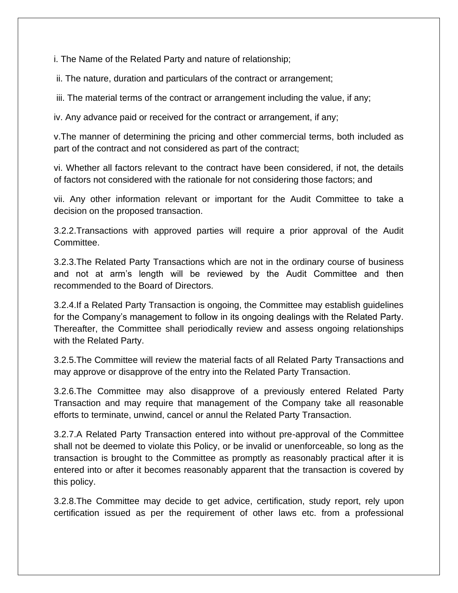i. The Name of the Related Party and nature of relationship;

ii. The nature, duration and particulars of the contract or arrangement;

iii. The material terms of the contract or arrangement including the value, if any;

iv. Any advance paid or received for the contract or arrangement, if any;

v.The manner of determining the pricing and other commercial terms, both included as part of the contract and not considered as part of the contract;

vi. Whether all factors relevant to the contract have been considered, if not, the details of factors not considered with the rationale for not considering those factors; and

vii. Any other information relevant or important for the Audit Committee to take a decision on the proposed transaction.

3.2.2.Transactions with approved parties will require a prior approval of the Audit Committee.

3.2.3.The Related Party Transactions which are not in the ordinary course of business and not at arm's length will be reviewed by the Audit Committee and then recommended to the Board of Directors.

3.2.4.If a Related Party Transaction is ongoing, the Committee may establish guidelines for the Company's management to follow in its ongoing dealings with the Related Party. Thereafter, the Committee shall periodically review and assess ongoing relationships with the Related Party.

3.2.5.The Committee will review the material facts of all Related Party Transactions and may approve or disapprove of the entry into the Related Party Transaction.

3.2.6.The Committee may also disapprove of a previously entered Related Party Transaction and may require that management of the Company take all reasonable efforts to terminate, unwind, cancel or annul the Related Party Transaction.

3.2.7.A Related Party Transaction entered into without pre-approval of the Committee shall not be deemed to violate this Policy, or be invalid or unenforceable, so long as the transaction is brought to the Committee as promptly as reasonably practical after it is entered into or after it becomes reasonably apparent that the transaction is covered by this policy.

3.2.8.The Committee may decide to get advice, certification, study report, rely upon certification issued as per the requirement of other laws etc. from a professional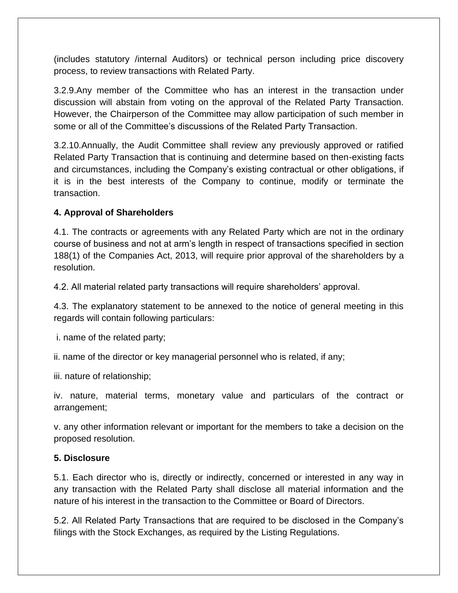(includes statutory /internal Auditors) or technical person including price discovery process, to review transactions with Related Party.

3.2.9.Any member of the Committee who has an interest in the transaction under discussion will abstain from voting on the approval of the Related Party Transaction. However, the Chairperson of the Committee may allow participation of such member in some or all of the Committee's discussions of the Related Party Transaction.

3.2.10.Annually, the Audit Committee shall review any previously approved or ratified Related Party Transaction that is continuing and determine based on then-existing facts and circumstances, including the Company's existing contractual or other obligations, if it is in the best interests of the Company to continue, modify or terminate the transaction.

# **4. Approval of Shareholders**

4.1. The contracts or agreements with any Related Party which are not in the ordinary course of business and not at arm's length in respect of transactions specified in section 188(1) of the Companies Act, 2013, will require prior approval of the shareholders by a resolution.

4.2. All material related party transactions will require shareholders' approval.

4.3. The explanatory statement to be annexed to the notice of general meeting in this regards will contain following particulars:

i. name of the related party;

ii. name of the director or key managerial personnel who is related, if any;

iii. nature of relationship;

iv. nature, material terms, monetary value and particulars of the contract or arrangement;

v. any other information relevant or important for the members to take a decision on the proposed resolution.

# **5. Disclosure**

5.1. Each director who is, directly or indirectly, concerned or interested in any way in any transaction with the Related Party shall disclose all material information and the nature of his interest in the transaction to the Committee or Board of Directors.

5.2. All Related Party Transactions that are required to be disclosed in the Company's filings with the Stock Exchanges, as required by the Listing Regulations.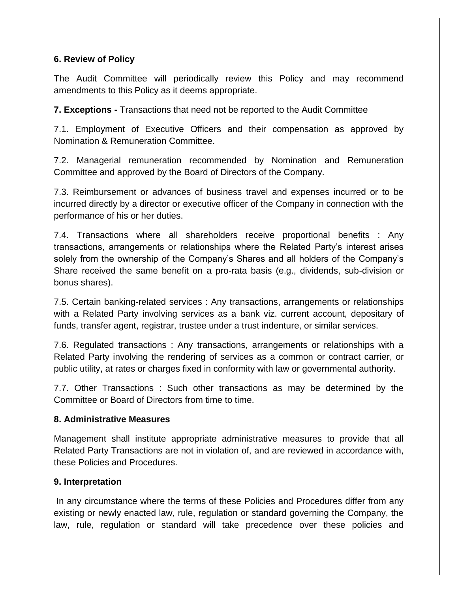## **6. Review of Policy**

The Audit Committee will periodically review this Policy and may recommend amendments to this Policy as it deems appropriate.

**7. Exceptions -** Transactions that need not be reported to the Audit Committee

7.1. Employment of Executive Officers and their compensation as approved by Nomination & Remuneration Committee.

7.2. Managerial remuneration recommended by Nomination and Remuneration Committee and approved by the Board of Directors of the Company.

7.3. Reimbursement or advances of business travel and expenses incurred or to be incurred directly by a director or executive officer of the Company in connection with the performance of his or her duties.

7.4. Transactions where all shareholders receive proportional benefits : Any transactions, arrangements or relationships where the Related Party's interest arises solely from the ownership of the Company's Shares and all holders of the Company's Share received the same benefit on a pro-rata basis (e.g., dividends, sub-division or bonus shares).

7.5. Certain banking-related services : Any transactions, arrangements or relationships with a Related Party involving services as a bank viz. current account, depositary of funds, transfer agent, registrar, trustee under a trust indenture, or similar services.

7.6. Regulated transactions : Any transactions, arrangements or relationships with a Related Party involving the rendering of services as a common or contract carrier, or public utility, at rates or charges fixed in conformity with law or governmental authority.

7.7. Other Transactions : Such other transactions as may be determined by the Committee or Board of Directors from time to time.

#### **8. Administrative Measures**

Management shall institute appropriate administrative measures to provide that all Related Party Transactions are not in violation of, and are reviewed in accordance with, these Policies and Procedures.

#### **9. Interpretation**

In any circumstance where the terms of these Policies and Procedures differ from any existing or newly enacted law, rule, regulation or standard governing the Company, the law, rule, regulation or standard will take precedence over these policies and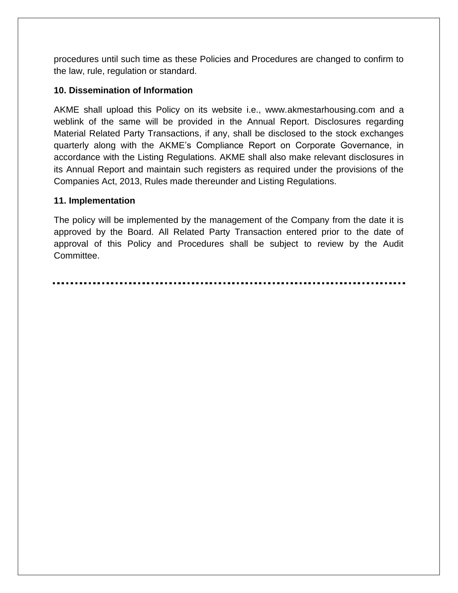procedures until such time as these Policies and Procedures are changed to confirm to the law, rule, regulation or standard.

## **10. Dissemination of Information**

AKME shall upload this Policy on its website i.e., www.akmestarhousing.com and a weblink of the same will be provided in the Annual Report. Disclosures regarding Material Related Party Transactions, if any, shall be disclosed to the stock exchanges quarterly along with the AKME's Compliance Report on Corporate Governance, in accordance with the Listing Regulations. AKME shall also make relevant disclosures in its Annual Report and maintain such registers as required under the provisions of the Companies Act, 2013, Rules made thereunder and Listing Regulations.

## **11. Implementation**

The policy will be implemented by the management of the Company from the date it is approved by the Board. All Related Party Transaction entered prior to the date of approval of this Policy and Procedures shall be subject to review by the Audit Committee.